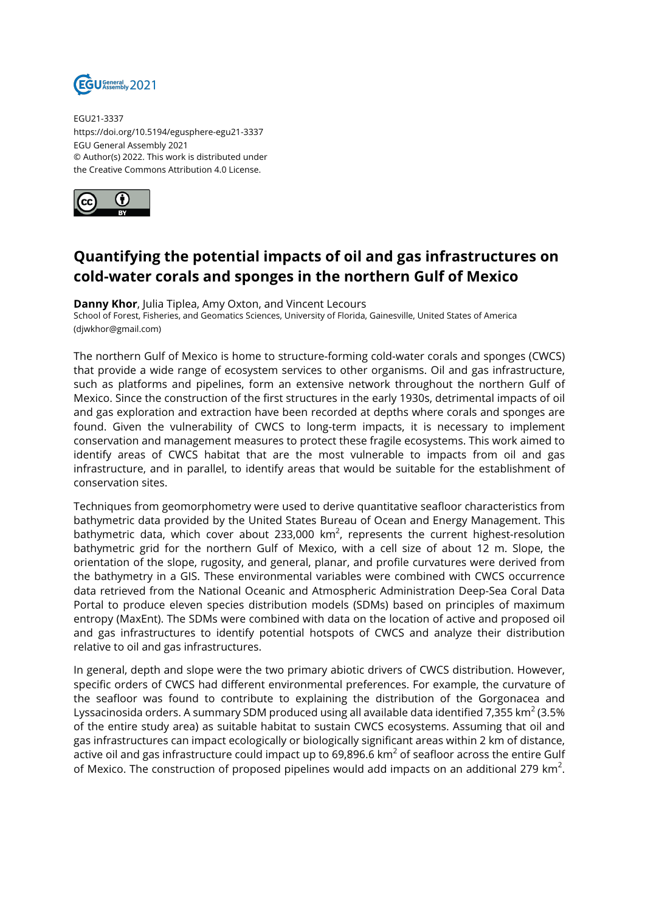

EGU21-3337 https://doi.org/10.5194/egusphere-egu21-3337 EGU General Assembly 2021 © Author(s) 2022. This work is distributed under the Creative Commons Attribution 4.0 License.



## **Quantifying the potential impacts of oil and gas infrastructures on cold-water corals and sponges in the northern Gulf of Mexico**

**Danny Khor**, Julia Tiplea, Amy Oxton, and Vincent Lecours

School of Forest, Fisheries, and Geomatics Sciences, University of Florida, Gainesville, United States of America (djwkhor@gmail.com)

The northern Gulf of Mexico is home to structure-forming cold-water corals and sponges (CWCS) that provide a wide range of ecosystem services to other organisms. Oil and gas infrastructure, such as platforms and pipelines, form an extensive network throughout the northern Gulf of Mexico. Since the construction of the first structures in the early 1930s, detrimental impacts of oil and gas exploration and extraction have been recorded at depths where corals and sponges are found. Given the vulnerability of CWCS to long-term impacts, it is necessary to implement conservation and management measures to protect these fragile ecosystems. This work aimed to identify areas of CWCS habitat that are the most vulnerable to impacts from oil and gas infrastructure, and in parallel, to identify areas that would be suitable for the establishment of conservation sites.

Techniques from geomorphometry were used to derive quantitative seafloor characteristics from bathymetric data provided by the United States Bureau of Ocean and Energy Management. This bathymetric data, which cover about 233,000 km $^2$ , represents the current highest-resolution bathymetric grid for the northern Gulf of Mexico, with a cell size of about 12 m. Slope, the orientation of the slope, rugosity, and general, planar, and profile curvatures were derived from the bathymetry in a GIS. These environmental variables were combined with CWCS occurrence data retrieved from the National Oceanic and Atmospheric Administration Deep-Sea Coral Data Portal to produce eleven species distribution models (SDMs) based on principles of maximum entropy (MaxEnt). The SDMs were combined with data on the location of active and proposed oil and gas infrastructures to identify potential hotspots of CWCS and analyze their distribution relative to oil and gas infrastructures.

In general, depth and slope were the two primary abiotic drivers of CWCS distribution. However, specific orders of CWCS had different environmental preferences. For example, the curvature of the seafloor was found to contribute to explaining the distribution of the Gorgonacea and Lyssacinosida orders. A summary SDM produced using all available data identified 7,355 km $^2$  (3.5%  $\,$ of the entire study area) as suitable habitat to sustain CWCS ecosystems. Assuming that oil and gas infrastructures can impact ecologically or biologically significant areas within 2 km of distance, active oil and gas infrastructure could impact up to 69,896.6 km $^2$  of seafloor across the entire Gulf of Mexico. The construction of proposed pipelines would add impacts on an additional 279 km<sup>2</sup>.